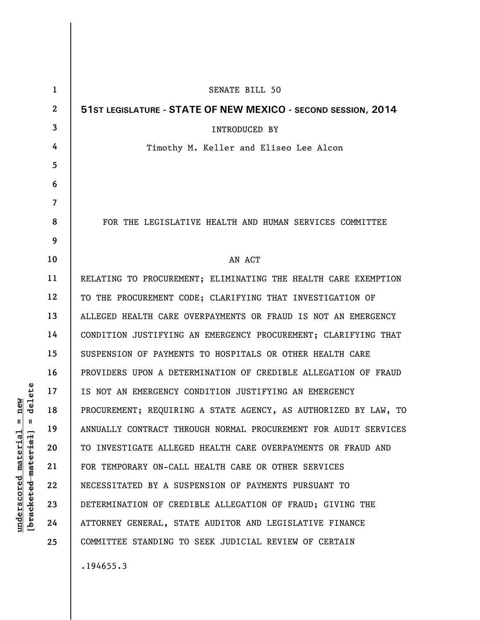| $\mathbf{1}$   | <b>SENATE BILL 50</b>                                           |
|----------------|-----------------------------------------------------------------|
| $\mathbf{2}$   | 51ST LEGISLATURE - STATE OF NEW MEXICO - SECOND SESSION, 2014   |
| 3              | <b>INTRODUCED BY</b>                                            |
| 4              | Timothy M. Keller and Eliseo Lee Alcon                          |
| 5              |                                                                 |
| 6              |                                                                 |
| $\overline{7}$ |                                                                 |
| 8              | FOR THE LEGISLATIVE HEALTH AND HUMAN SERVICES COMMITTEE         |
| 9              |                                                                 |
| 10             | AN ACT                                                          |
| 11             | RELATING TO PROCUREMENT; ELIMINATING THE HEALTH CARE EXEMPTION  |
| 12             | TO THE PROCUREMENT CODE; CLARIFYING THAT INVESTIGATION OF       |
| 13             | ALLEGED HEALTH CARE OVERPAYMENTS OR FRAUD IS NOT AN EMERGENCY   |
| 14             | CONDITION JUSTIFYING AN EMERGENCY PROCUREMENT; CLARIFYING THAT  |
| 15             | SUSPENSION OF PAYMENTS TO HOSPITALS OR OTHER HEALTH CARE        |
| 16             | PROVIDERS UPON A DETERMINATION OF CREDIBLE ALLEGATION OF FRAUD  |
| 17             | IS NOT AN EMERGENCY CONDITION JUSTIFYING AN EMERGENCY           |
| 18             | PROCUREMENT; REQUIRING A STATE AGENCY, AS AUTHORIZED BY LAW, TO |
| 19             | ANNUALLY CONTRACT THROUGH NORMAL PROCUREMENT FOR AUDIT SERVICES |
| 20             | TO INVESTIGATE ALLEGED HEALTH CARE OVERPAYMENTS OR FRAUD AND    |
| 21             | FOR TEMPORARY ON-CALL HEALTH CARE OR OTHER SERVICES             |
| 22             | NECESSITATED BY A SUSPENSION OF PAYMENTS PURSUANT TO            |
| 23             | DETERMINATION OF CREDIBLE ALLEGATION OF FRAUD; GIVING THE       |
| 24             | ATTORNEY GENERAL, STATE AUDITOR AND LEGISLATIVE FINANCE         |
| 25             | COMMITTEE STANDING TO SEEK JUDICIAL REVIEW OF CERTAIN           |
|                | .194655.3                                                       |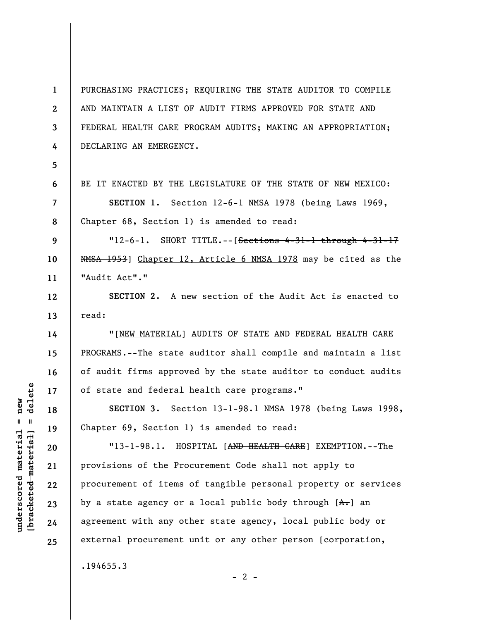**1 2 3 4**  PURCHASING PRACTICES; REQUIRING THE STATE AUDITOR TO COMPILE AND MAINTAIN A LIST OF AUDIT FIRMS APPROVED FOR STATE AND FEDERAL HEALTH CARE PROGRAM AUDITS; MAKING AN APPROPRIATION; DECLARING AN EMERGENCY.

**5** 

**6** 

**7** 

**8** 

**12** 

**13** 

**14** 

**15** 

**16** 

**17** 

**18** 

**19** 

**20** 

**21** 

**22** 

**23** 

**24** 

**25** 

BE IT ENACTED BY THE LEGISLATURE OF THE STATE OF NEW MEXICO:

**SECTION 1.** Section 12-6-1 NMSA 1978 (being Laws 1969, Chapter 68, Section 1) is amended to read:

**9 10 11**   $"12-6-1.$  SHORT TITLE. $--$ [Sections 4-31-1 through 4-31-17 NMSA 1953] Chapter 12, Article 6 NMSA 1978 may be cited as the "Audit Act"."

**SECTION 2.** A new section of the Audit Act is enacted to read:

"[NEW MATERIAL] AUDITS OF STATE AND FEDERAL HEALTH CARE PROGRAMS.--The state auditor shall compile and maintain a list of audit firms approved by the state auditor to conduct audits of state and federal health care programs."

**SECTION 3.** Section 13-1-98.1 NMSA 1978 (being Laws 1998, Chapter 69, Section 1) is amended to read:

"13-1-98.1. HOSPITAL [AND HEALTH CARE] EXEMPTION.--The provisions of the Procurement Code shall not apply to procurement of items of tangible personal property or services by a state agency or a local public body through  $[A, \cdot]$  an agreement with any other state agency, local public body or external procurement unit or any other person [corporation,

 $- 2 -$ 

.194655.3

 $=$  delete **[bracketed material] = delete**  $underscored material = new$ **underscored material = new** bracketed material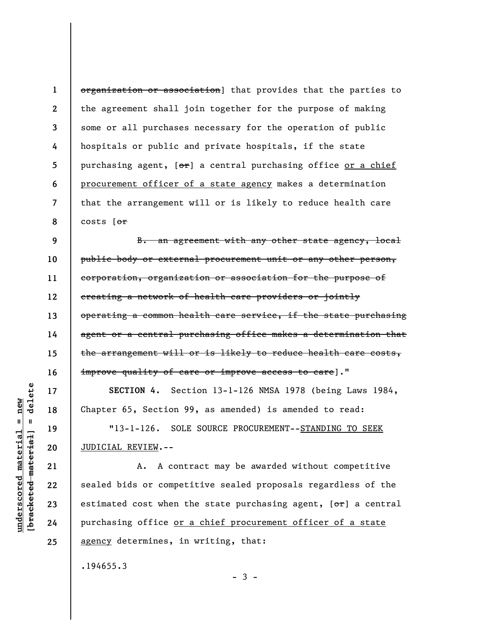**1 2 3 4 5 6 7 8**  organization or association] that provides that the parties to the agreement shall join together for the purpose of making some or all purchases necessary for the operation of public hospitals or public and private hospitals, if the state purchasing agent, [or] a central purchasing office or a chief procurement officer of a state agency makes a determination that the arrangement will or is likely to reduce health care costs [or

**9 10 11 12 13 14 15 16**  B. an agreement with any other state agency, local public body or external procurement unit or any other person, corporation, organization or association for the purpose of creating a network of health care providers or jointly operating a common health care service, if the state purchasing agent or a central purchasing office makes a determination that the arrangement will or is likely to reduce health care costs, improve quality of care or improve access to care]."

**SECTION 4.** Section 13-1-126 NMSA 1978 (being Laws 1984, Chapter 65, Section 99, as amended) is amended to read:

"13-1-126. SOLE SOURCE PROCUREMENT--STANDING TO SEEK JUDICIAL REVIEW.--

A. A contract may be awarded without competitive sealed bids or competitive sealed proposals regardless of the estimated cost when the state purchasing agent,  $[ $\theta$  +  $\theta$ ] a central$ purchasing office or a chief procurement officer of a state agency determines, in writing, that:

.194655.3

delete **[bracketed material] = delete**  $anderscored material = new$ **underscored material = new**  $\mathbf{I}$ bracketed material

**17** 

**18** 

**19** 

**20** 

**21** 

**22** 

**23** 

**24** 

**25** 

 $-3 -$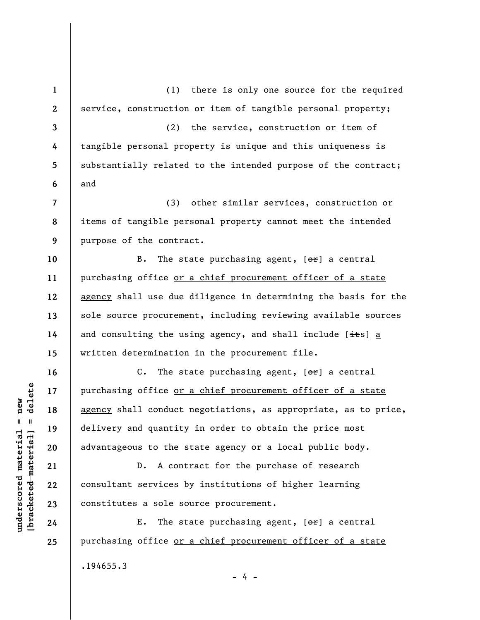**1 2 3 4 5 6 7 8 9 10 11 12 13 14 15 16 17 18 19 20 21 22 23 24 25**  (1) there is only one source for the required service, construction or item of tangible personal property; (2) the service, construction or item of tangible personal property is unique and this uniqueness is substantially related to the intended purpose of the contract; and (3) other similar services, construction or items of tangible personal property cannot meet the intended purpose of the contract. B. The state purchasing agent,  $[**or**]$  a central purchasing office or a chief procurement officer of a state agency shall use due diligence in determining the basis for the sole source procurement, including reviewing available sources and consulting the using agency, and shall include  $[i \pm s]$  a written determination in the procurement file. C. The state purchasing agent,  $[**or**]$  a central purchasing office or a chief procurement officer of a state agency shall conduct negotiations, as appropriate, as to price, delivery and quantity in order to obtain the price most advantageous to the state agency or a local public body. D. A contract for the purchase of research consultant services by institutions of higher learning constitutes a sole source procurement. E. The state purchasing agent,  $[\theta^*]$  a central purchasing office or a chief procurement officer of a state .194655.3 - 4 -

**underscored material = new [bracketed material] = delete**

 $\frac{1}{2}$  intereted material = delete  $underscored material = new$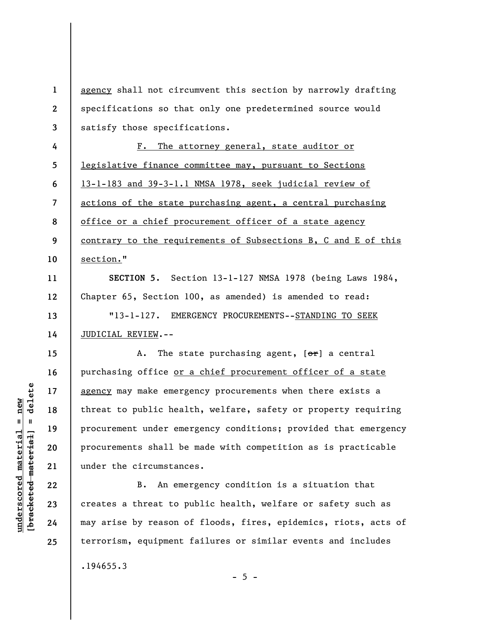| $\mathbf{1}$     | agency shall not circumvent this section by narrowly drafting   |
|------------------|-----------------------------------------------------------------|
| $\boldsymbol{2}$ | specifications so that only one predetermined source would      |
| 3                | satisfy those specifications.                                   |
| 4                | The attorney general, state auditor or<br>$F$ .                 |
| 5                | legislative finance committee may, pursuant to Sections         |
| 6                | 13-1-183 and 39-3-1.1 NMSA 1978, seek judicial review of        |
| $\overline{7}$   | actions of the state purchasing agent, a central purchasing     |
| 8                | office or a chief procurement officer of a state agency         |
| 9                | contrary to the requirements of Subsections B, C and E of this  |
| 10               | section."                                                       |
| 11               | SECTION 5. Section 13-1-127 NMSA 1978 (being Laws 1984,         |
| 12               | Chapter 65, Section 100, as amended) is amended to read:        |
| 13               | "13-1-127. EMERGENCY PROCUREMENTS--STANDING TO SEEK             |
| 14               | JUDICIAL REVIEW.--                                              |
| 15               | The state purchasing agent, $[\theta^*]$ a central<br>Α.        |
| 16               | purchasing office or a chief procurement officer of a state     |
| 17               | agency may make emergency procurements when there exists a      |
| 18               | threat to public health, welfare, safety or property requiring  |
| 19               | procurement under emergency conditions; provided that emergency |
| 20               | procurements shall be made with competition as is practicable   |
| 21               | under the circumstances.                                        |
| 22               | An emergency condition is a situation that<br>B.                |
| 23               | creates a threat to public health, welfare or safety such as    |
| 24               | may arise by reason of floods, fires, epidemics, riots, acts of |
| 25               | terrorism, equipment failures or similar events and includes    |
|                  |                                                                 |

.194655.3

 $[**bracket**et~~ed matched~~ + **net** + **1** + **1**$  = delete **[bracketed material] = delete**  $underscored material = new$ **underscored material = new**

 $- 5 -$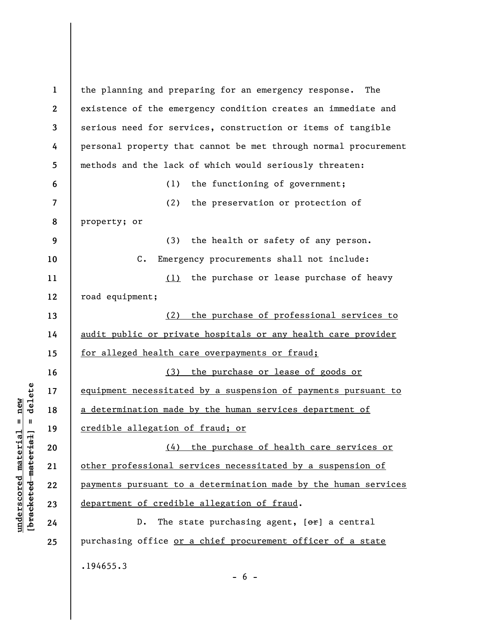**1 2 3 4 5 6 7 8 9 10 11 12 13 14 15 16 17 18 19 20 21 22 23 24 25**  the planning and preparing for an emergency response. The existence of the emergency condition creates an immediate and serious need for services, construction or items of tangible personal property that cannot be met through normal procurement methods and the lack of which would seriously threaten: (1) the functioning of government; (2) the preservation or protection of property; or (3) the health or safety of any person. C. Emergency procurements shall not include: (1) the purchase or lease purchase of heavy road equipment; (2) the purchase of professional services to audit public or private hospitals or any health care provider for alleged health care overpayments or fraud; (3) the purchase or lease of goods or equipment necessitated by a suspension of payments pursuant to a determination made by the human services department of credible allegation of fraud; or (4) the purchase of health care services or other professional services necessitated by a suspension of payments pursuant to a determination made by the human services department of credible allegation of fraud. D. The state purchasing agent,  $[**or**]$  a central purchasing office or a chief procurement officer of a state .194655.3

 $\frac{1}{2}$  intereted material = delete **[bracketed material] = delete**  $underscored material = new$ **underscored material = new**

 $- 6 -$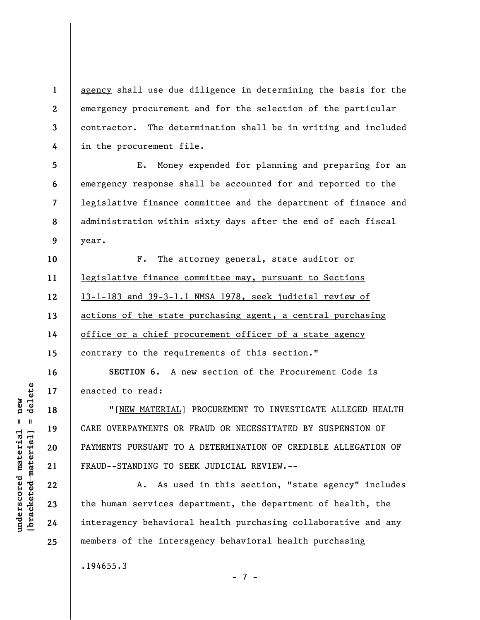agency shall use due diligence in determining the basis for the emergency procurement and for the selection of the particular contractor. The determination shall be in writing and included in the procurement file.

**5 6 7 8 9**  E. Money expended for planning and preparing for an emergency response shall be accounted for and reported to the legislative finance committee and the department of finance and administration within sixty days after the end of each fiscal year.

**10 11 12 13 14 15**  F. The attorney general, state auditor or legislative finance committee may, pursuant to Sections 13-1-183 and 39-3-1.1 NMSA 1978, seek judicial review of actions of the state purchasing agent, a central purchasing office or a chief procurement officer of a state agency contrary to the requirements of this section."

**16 17 SECTION 6.** A new section of the Procurement Code is enacted to read:

"[NEW MATERIAL] PROCUREMENT TO INVESTIGATE ALLEGED HEALTH CARE OVERPAYMENTS OR FRAUD OR NECESSITATED BY SUSPENSION OF PAYMENTS PURSUANT TO A DETERMINATION OF CREDIBLE ALLEGATION OF FRAUD--STANDING TO SEEK JUDICIAL REVIEW.--

A. As used in this section, "state agency" includes the human services department, the department of health, the interagency behavioral health purchasing collaborative and any members of the interagency behavioral health purchasing

- 7 -

.194655.3

 $\frac{1}{2}$  intereted material = delete **[bracketed material] = delete**  $underscored material = new$ **underscored material = new**

**18** 

**19** 

**20** 

**21** 

**22** 

**23** 

**24** 

**25** 

**1** 

**2** 

**3** 

**4**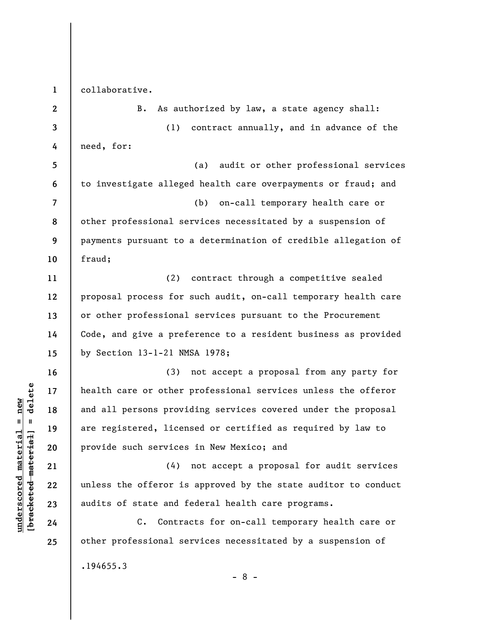**1**  collaborative.

**2 3 4 5 6 7 8 9 10 11 12 13 14 15 16 17 18 19 20 21 22 23 24 25**  B. As authorized by law, a state agency shall: (1) contract annually, and in advance of the need, for: (a) audit or other professional services to investigate alleged health care overpayments or fraud; and (b) on-call temporary health care or other professional services necessitated by a suspension of payments pursuant to a determination of credible allegation of fraud; (2) contract through a competitive sealed proposal process for such audit, on-call temporary health care or other professional services pursuant to the Procurement Code, and give a preference to a resident business as provided by Section 13-1-21 NMSA 1978; (3) not accept a proposal from any party for health care or other professional services unless the offeror and all persons providing services covered under the proposal are registered, licensed or certified as required by law to provide such services in New Mexico; and (4) not accept a proposal for audit services unless the offeror is approved by the state auditor to conduct audits of state and federal health care programs. C. Contracts for on-call temporary health care or other professional services necessitated by a suspension of .194655.3

 $b$ racketed material] = delete **[bracketed material] = delete**  $underscored material = new$ **underscored material = new**

- 8 -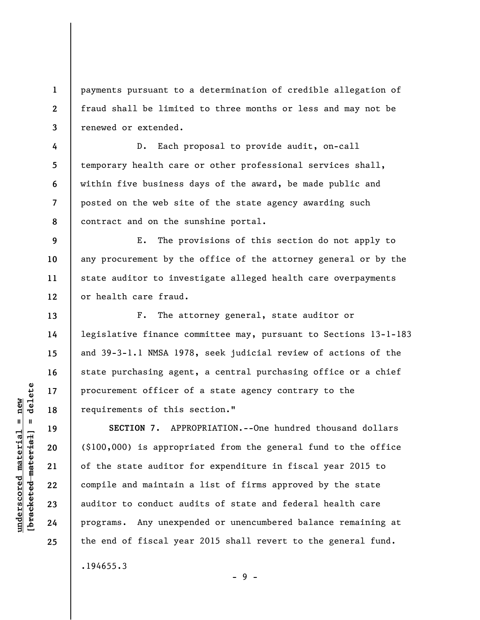payments pursuant to a determination of credible allegation of fraud shall be limited to three months or less and may not be renewed or extended.

**4 5 6 7 8**  D. Each proposal to provide audit, on-call temporary health care or other professional services shall, within five business days of the award, be made public and posted on the web site of the state agency awarding such contract and on the sunshine portal.

**9 10 11 12**  E. The provisions of this section do not apply to any procurement by the office of the attorney general or by the state auditor to investigate alleged health care overpayments or health care fraud.

F. The attorney general, state auditor or legislative finance committee may, pursuant to Sections 13-1-183 and 39-3-1.1 NMSA 1978, seek judicial review of actions of the state purchasing agent, a central purchasing office or a chief procurement officer of a state agency contrary to the requirements of this section."

**SECTION 7.** APPROPRIATION.--One hundred thousand dollars (\$100,000) is appropriated from the general fund to the office of the state auditor for expenditure in fiscal year 2015 to compile and maintain a list of firms approved by the state auditor to conduct audits of state and federal health care programs. Any unexpended or unencumbered balance remaining at the end of fiscal year 2015 shall revert to the general fund.

.194655.3

- 9 -

 $\frac{1}{2}$  intereted material = delete **[bracketed material] = delete**  $underscored material = new$ **underscored material = new**

**1** 

**2** 

**3** 

**13** 

**14** 

**15** 

**16** 

**17** 

**18** 

**19** 

**20** 

**21** 

**22** 

**23** 

**24** 

**25**